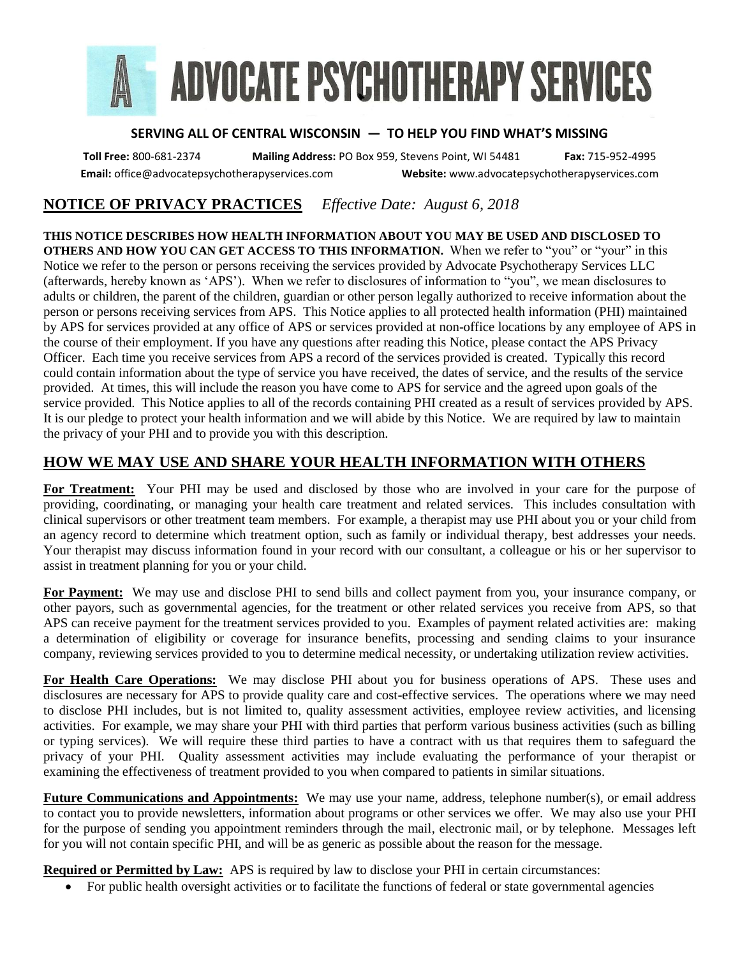

## **SERVING ALL OF CENTRAL WISCONSIN ― TO HELP YOU FIND WHAT'S MISSING**

**Toll Free:** 800-681-2374 **Mailing Address:** PO Box 959, Stevens Point, WI 54481 **Fax:** 715-952-4995 **Email:** office@advocatepsychotherapyservices.com **Website:** www.advocatepsychotherapyservices.com

## **NOTICE OF PRIVACY PRACTICES** *Effective Date: August 6, 2018*

**THIS NOTICE DESCRIBES HOW HEALTH INFORMATION ABOUT YOU MAY BE USED AND DISCLOSED TO OTHERS AND HOW YOU CAN GET ACCESS TO THIS INFORMATION.** When we refer to "you" or "your" in this Notice we refer to the person or persons receiving the services provided by Advocate Psychotherapy Services LLC (afterwards, hereby known as 'APS'). When we refer to disclosures of information to "you", we mean disclosures to adults or children, the parent of the children, guardian or other person legally authorized to receive information about the person or persons receiving services from APS. This Notice applies to all protected health information (PHI) maintained by APS for services provided at any office of APS or services provided at non-office locations by any employee of APS in the course of their employment. If you have any questions after reading this Notice, please contact the APS Privacy Officer. Each time you receive services from APS a record of the services provided is created. Typically this record could contain information about the type of service you have received, the dates of service, and the results of the service provided. At times, this will include the reason you have come to APS for service and the agreed upon goals of the service provided. This Notice applies to all of the records containing PHI created as a result of services provided by APS. It is our pledge to protect your health information and we will abide by this Notice. We are required by law to maintain the privacy of your PHI and to provide you with this description.

## **HOW WE MAY USE AND SHARE YOUR HEALTH INFORMATION WITH OTHERS**

**For Treatment:** Your PHI may be used and disclosed by those who are involved in your care for the purpose of providing, coordinating, or managing your health care treatment and related services. This includes consultation with clinical supervisors or other treatment team members. For example, a therapist may use PHI about you or your child from an agency record to determine which treatment option, such as family or individual therapy, best addresses your needs. Your therapist may discuss information found in your record with our consultant, a colleague or his or her supervisor to assist in treatment planning for you or your child.

**For Payment:** We may use and disclose PHI to send bills and collect payment from you, your insurance company, or other payors, such as governmental agencies, for the treatment or other related services you receive from APS, so that APS can receive payment for the treatment services provided to you. Examples of payment related activities are: making a determination of eligibility or coverage for insurance benefits, processing and sending claims to your insurance company, reviewing services provided to you to determine medical necessity, or undertaking utilization review activities.

**For Health Care Operations:** We may disclose PHI about you for business operations of APS. These uses and disclosures are necessary for APS to provide quality care and cost-effective services. The operations where we may need to disclose PHI includes, but is not limited to, quality assessment activities, employee review activities, and licensing activities. For example, we may share your PHI with third parties that perform various business activities (such as billing or typing services). We will require these third parties to have a contract with us that requires them to safeguard the privacy of your PHI. Quality assessment activities may include evaluating the performance of your therapist or examining the effectiveness of treatment provided to you when compared to patients in similar situations.

**Future Communications and Appointments:** We may use your name, address, telephone number(s), or email address to contact you to provide newsletters, information about programs or other services we offer. We may also use your PHI for the purpose of sending you appointment reminders through the mail, electronic mail, or by telephone. Messages left for you will not contain specific PHI, and will be as generic as possible about the reason for the message.

**Required or Permitted by Law:** APS is required by law to disclose your PHI in certain circumstances:

• For public health oversight activities or to facilitate the functions of federal or state governmental agencies